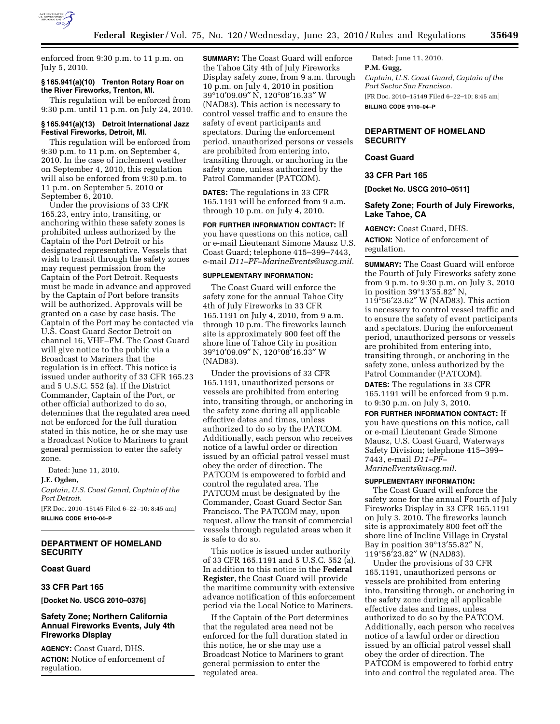

enforced from 9:30 p.m. to 11 p.m. on July 5, 2010.

### **§ 165.941(a)(10) Trenton Rotary Roar on the River Fireworks, Trenton, MI.**

This regulation will be enforced from 9:30 p.m. until 11 p.m. on July 24, 2010.

## **§ 165.941(a)(13) Detroit International Jazz Festival Fireworks, Detroit, MI.**

This regulation will be enforced from 9:30 p.m. to 11 p.m. on September 4, 2010. In the case of inclement weather on September 4, 2010, this regulation will also be enforced from 9:30 p.m. to 11 p.m. on September 5, 2010 or September 6, 2010.

Under the provisions of 33 CFR 165.23, entry into, transiting, or anchoring within these safety zones is prohibited unless authorized by the Captain of the Port Detroit or his designated representative. Vessels that wish to transit through the safety zones may request permission from the Captain of the Port Detroit. Requests must be made in advance and approved by the Captain of Port before transits will be authorized. Approvals will be granted on a case by case basis. The Captain of the Port may be contacted via U.S. Coast Guard Sector Detroit on channel 16, VHF–FM. The Coast Guard will give notice to the public via a Broadcast to Mariners that the regulation is in effect. This notice is issued under authority of 33 CFR 165.23 and 5 U.S.C. 552 (a). If the District Commander, Captain of the Port, or other official authorized to do so, determines that the regulated area need not be enforced for the full duration stated in this notice, he or she may use a Broadcast Notice to Mariners to grant general permission to enter the safety zone.

Dated: June 11, 2010.

**J.E. Ogden,** 

### *Captain, U.S. Coast Guard, Captain of the Port Detroit.*

[FR Doc. 2010–15145 Filed 6–22–10; 8:45 am] **BILLING CODE 9110–04–P** 

# **DEPARTMENT OF HOMELAND SECURITY**

### **Coast Guard**

# **33 CFR Part 165**

**[Docket No. USCG 2010–0376]** 

# **Safety Zone; Northern California Annual Fireworks Events, July 4th Fireworks Display**

**AGENCY:** Coast Guard, DHS. **ACTION:** Notice of enforcement of regulation.

**SUMMARY:** The Coast Guard will enforce the Tahoe City 4th of July Fireworks Display safety zone, from 9 a.m. through 10 p.m. on July 4, 2010 in position 39°10′09.09″ N, 120°08′16.33″ W (NAD83). This action is necessary to control vessel traffic and to ensure the safety of event participants and spectators. During the enforcement period, unauthorized persons or vessels are prohibited from entering into, transiting through, or anchoring in the safety zone, unless authorized by the Patrol Commander (PATCOM).

**DATES:** The regulations in 33 CFR 165.1191 will be enforced from 9 a.m. through 10 p.m. on July 4, 2010.

**FOR FURTHER INFORMATION CONTACT:** If you have questions on this notice, call or e-mail Lieutenant Simone Mausz U.S. Coast Guard; telephone 415–399–7443, e-mail *D11–PF–MarineEvents@uscg.mil.* 

### **SUPPLEMENTARY INFORMATION:**

The Coast Guard will enforce the safety zone for the annual Tahoe City 4th of July Fireworks in 33 CFR 165.1191 on July 4, 2010, from 9 a.m. through 10 p.m. The fireworks launch site is approximately 900 feet off the shore line of Tahoe City in position 39°10′09.09″ N, 120°08′16.33″ W (NAD83).

Under the provisions of 33 CFR 165.1191, unauthorized persons or vessels are prohibited from entering into, transiting through, or anchoring in the safety zone during all applicable effective dates and times, unless authorized to do so by the PATCOM. Additionally, each person who receives notice of a lawful order or direction issued by an official patrol vessel must obey the order of direction. The PATCOM is empowered to forbid and control the regulated area. The PATCOM must be designated by the Commander, Coast Guard Sector San Francisco. The PATCOM may, upon request, allow the transit of commercial vessels through regulated areas when it is safe to do so.

This notice is issued under authority of 33 CFR 165.1191 and 5 U.S.C. 552 (a). In addition to this notice in the **Federal Register**, the Coast Guard will provide the maritime community with extensive advance notification of this enforcement period via the Local Notice to Mariners.

If the Captain of the Port determines that the regulated area need not be enforced for the full duration stated in this notice, he or she may use a Broadcast Notice to Mariners to grant general permission to enter the regulated area.

Dated: June 11, 2010. **P.M. Gugg,**  *Captain, U.S. Coast Guard, Captain of the Port Sector San Francisco.*  [FR Doc. 2010–15149 Filed 6–22–10; 8:45 am] **BILLING CODE 9110–04–P** 

# **DEPARTMENT OF HOMELAND SECURITY**

## **Coast Guard**

### **33 CFR Part 165**

**[Docket No. USCG 2010–0511]** 

## **Safety Zone; Fourth of July Fireworks, Lake Tahoe, CA**

**AGENCY:** Coast Guard, DHS. **ACTION:** Notice of enforcement of regulation.

**SUMMARY:** The Coast Guard will enforce the Fourth of July Fireworks safety zone from 9 p.m. to 9:30 p.m. on July 3, 2010 in position 39°13′55.82″ N, 119°56′23.62″ W (NAD83). This action is necessary to control vessel traffic and to ensure the safety of event participants and spectators. During the enforcement period, unauthorized persons or vessels are prohibited from entering into, transiting through, or anchoring in the safety zone, unless authorized by the Patrol Commander (PATCOM).

**DATES:** The regulations in 33 CFR 165.1191 will be enforced from 9 p.m. to 9:30 p.m. on July 3, 2010.

**FOR FURTHER INFORMATION CONTACT:** If you have questions on this notice, call or e-mail Lieutenant Grade Simone Mausz, U.S. Coast Guard, Waterways Safety Division; telephone 415–399– 7443, e-mail *D11–PF– MarineEvents@uscg.mil.* 

# **SUPPLEMENTARY INFORMATION:**

The Coast Guard will enforce the safety zone for the annual Fourth of July Fireworks Display in 33 CFR 165.1191 on July 3, 2010. The fireworks launch site is approximately 800 feet off the shore line of Incline Village in Crystal Bay in position 39°13′55.82″ N, 119°56′23.82″ W (NAD83).

Under the provisions of 33 CFR 165.1191, unauthorized persons or vessels are prohibited from entering into, transiting through, or anchoring in the safety zone during all applicable effective dates and times, unless authorized to do so by the PATCOM. Additionally, each person who receives notice of a lawful order or direction issued by an official patrol vessel shall obey the order of direction. The PATCOM is empowered to forbid entry into and control the regulated area. The